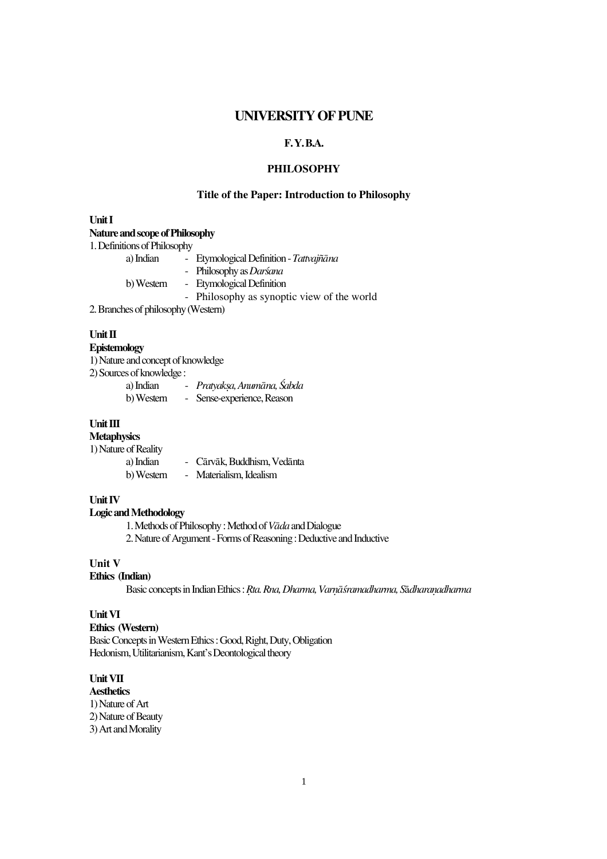# **UNIVERSITY OF PUNE**

# **F. Y. B.A.**

## **PHILOSOPHY**

## **Title of the Paper: Introduction to Philosophy**

### **Unit I**

#### **Nature and scope of Philosophy**

1. Definitions of Philosophy

| a) Indian                           | - Etymological Definition - Tattvajñāna    |  |
|-------------------------------------|--------------------------------------------|--|
|                                     | - Philosophy as Darśana                    |  |
| b) Western                          | - Etymological Definition                  |  |
|                                     | - Philosophy as synoptic view of the world |  |
| 2. Branches of philosophy (Western) |                                            |  |

#### **Unit II**

## **Epistemology**

1) Nature and concept of knowledge

2) Sources of knowledge :

| a) Indian  | Pratyaksa, Anumāna, Śabda |
|------------|---------------------------|
| b) Western | Sense-experience, Reason  |

#### **Unit III**

## **Metaphysics**

1) Nature of Reality

- Cārvāk, Buddhism, Vedānta b) Western - Materialism, Idealism

### **Unit IV**

### **Logic and Methodology**

1. Methods of Philosophy : Method of *Vada* and Dialogue

2. Nature of Argument - Forms of Reasoning : Deductive and Inductive

# **Unit V**

#### **Ethics (Indian)**

Basic concepts in Indian Ethics : *Rta. Rna, Dharma, Varnāśramadharma, Sādharanadharma* 

## **Unit VI**

#### **Ethics (Western)**

Basic Concepts in Western Ethics : Good, Right, Duty, Obligation Hedonism, Utilitarianism, Kant's Deontological theory

## **Unit VII**

**Aesthetics**  1) Nature of Art

2) Nature of Beauty

3) Art and Morality